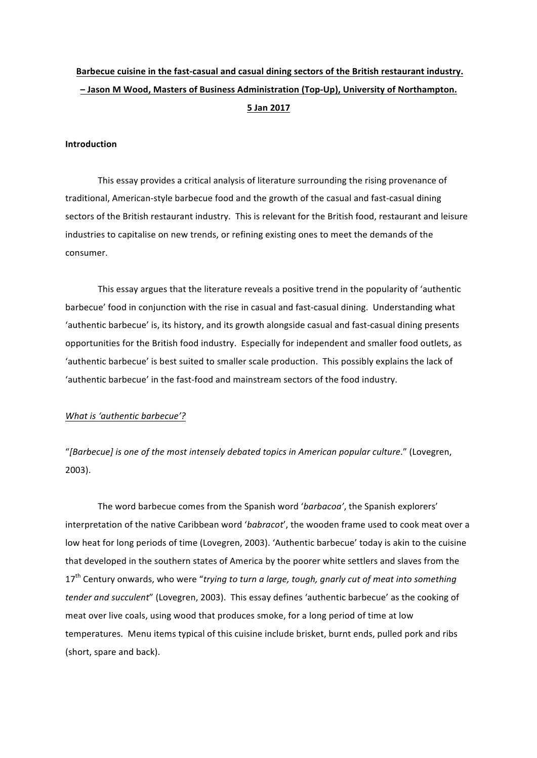# Barbecue cuisine in the fast-casual and casual dining sectors of the British restaurant industry. **– Jason M Wood, Masters of Business Administration (Top-Up), University of Northampton. 5 Jan 2017**

#### **Introduction**

This essay provides a critical analysis of literature surrounding the rising provenance of traditional, American-style barbecue food and the growth of the casual and fast-casual dining sectors of the British restaurant industry. This is relevant for the British food, restaurant and leisure industries to capitalise on new trends, or refining existing ones to meet the demands of the consumer.

This essay argues that the literature reveals a positive trend in the popularity of 'authentic barbecue' food in conjunction with the rise in casual and fast-casual dining. Understanding what 'authentic barbecue' is, its history, and its growth alongside casual and fast-casual dining presents opportunities for the British food industry. Especially for independent and smaller food outlets, as 'authentic barbecue' is best suited to smaller scale production. This possibly explains the lack of 'authentic barbecue' in the fast-food and mainstream sectors of the food industry.

### What is 'authentic barbecue'?

"[Barbecue] is one of the most intensely debated topics in American popular culture." (Lovegren, 2003).

The word barbecue comes from the Spanish word 'barbacoa', the Spanish explorers' interpretation of the native Caribbean word 'babracot', the wooden frame used to cook meat over a low heat for long periods of time (Lovegren, 2003). 'Authentic barbecue' today is akin to the cuisine that developed in the southern states of America by the poorer white settlers and slaves from the 17<sup>th</sup> Century onwards, who were "trying to turn a large, tough, gnarly cut of meat into something *tender and succulent*" (Lovegren, 2003). This essay defines 'authentic barbecue' as the cooking of meat over live coals, using wood that produces smoke, for a long period of time at low temperatures. Menu items typical of this cuisine include brisket, burnt ends, pulled pork and ribs (short, spare and back).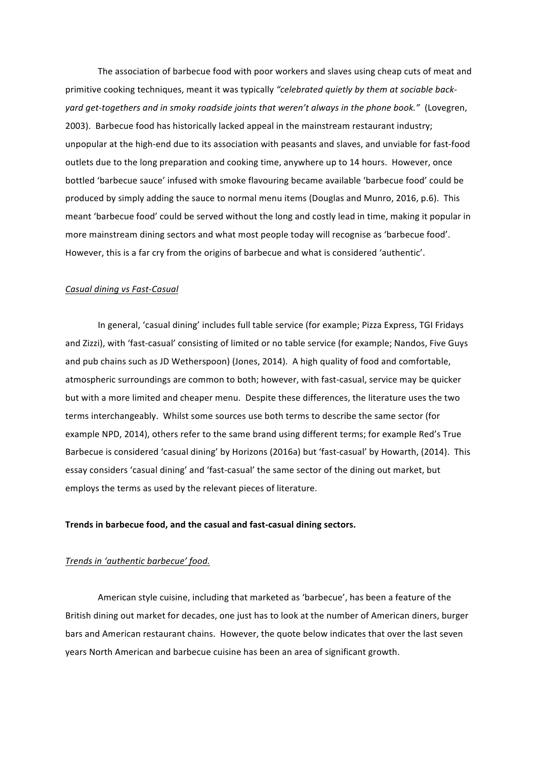The association of barbecue food with poor workers and slaves using cheap cuts of meat and primitive cooking techniques, meant it was typically "celebrated quietly by them at sociable backyard get-togethers and in smoky roadside joints that weren't always in the phone book." (Lovegren, 2003). Barbecue food has historically lacked appeal in the mainstream restaurant industry; unpopular at the high-end due to its association with peasants and slaves, and unviable for fast-food outlets due to the long preparation and cooking time, anywhere up to 14 hours. However, once bottled 'barbecue sauce' infused with smoke flavouring became available 'barbecue food' could be produced by simply adding the sauce to normal menu items (Douglas and Munro, 2016, p.6). This meant 'barbecue food' could be served without the long and costly lead in time, making it popular in more mainstream dining sectors and what most people today will recognise as 'barbecue food'. However, this is a far cry from the origins of barbecue and what is considered 'authentic'.

#### *Casual dining vs Fast-Casual*

In general, 'casual dining' includes full table service (for example; Pizza Express, TGI Fridays and Zizzi), with 'fast-casual' consisting of limited or no table service (for example; Nandos, Five Guys and pub chains such as JD Wetherspoon) (Jones, 2014). A high quality of food and comfortable, atmospheric surroundings are common to both; however, with fast-casual, service may be quicker but with a more limited and cheaper menu. Despite these differences, the literature uses the two terms interchangeably. Whilst some sources use both terms to describe the same sector (for example NPD, 2014), others refer to the same brand using different terms; for example Red's True Barbecue is considered 'casual dining' by Horizons (2016a) but 'fast-casual' by Howarth, (2014). This essay considers 'casual dining' and 'fast-casual' the same sector of the dining out market, but employs the terms as used by the relevant pieces of literature.

#### Trends in barbecue food, and the casual and fast-casual dining sectors.

### *Trends in 'authentic barbecue' food.*

American style cuisine, including that marketed as 'barbecue', has been a feature of the British dining out market for decades, one just has to look at the number of American diners, burger bars and American restaurant chains. However, the quote below indicates that over the last seven years North American and barbecue cuisine has been an area of significant growth.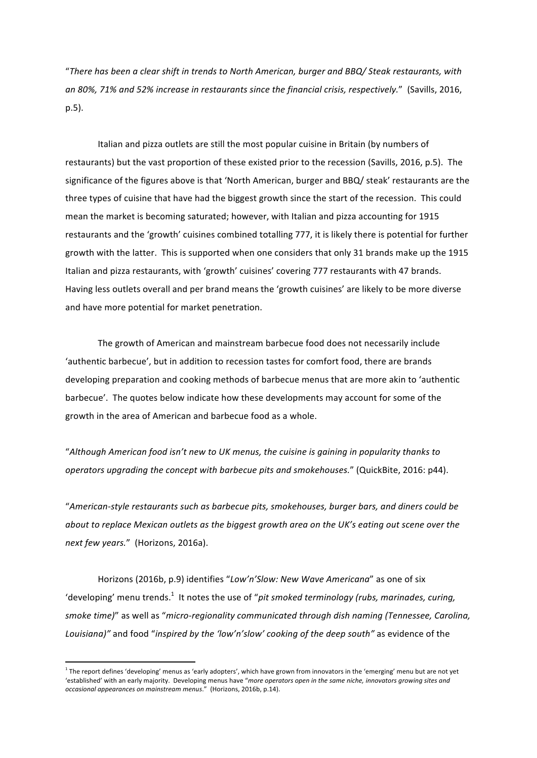"*There has been a clear shift in trends to North American, burger and BBQ/ Steak restaurants, with*  an 80%, 71% and 52% increase in restaurants since the financial crisis, respectively." (Savills, 2016, p.5). 

Italian and pizza outlets are still the most popular cuisine in Britain (by numbers of restaurants) but the vast proportion of these existed prior to the recession (Savills, 2016, p.5). The significance of the figures above is that 'North American, burger and BBQ/ steak' restaurants are the three types of cuisine that have had the biggest growth since the start of the recession. This could mean the market is becoming saturated; however, with Italian and pizza accounting for 1915 restaurants and the 'growth' cuisines combined totalling 777, it is likely there is potential for further growth with the latter. This is supported when one considers that only 31 brands make up the 1915 Italian and pizza restaurants, with 'growth' cuisines' covering 777 restaurants with 47 brands. Having less outlets overall and per brand means the 'growth cuisines' are likely to be more diverse and have more potential for market penetration.

The growth of American and mainstream barbecue food does not necessarily include 'authentic barbecue', but in addition to recession tastes for comfort food, there are brands developing preparation and cooking methods of barbecue menus that are more akin to 'authentic barbecue'. The quotes below indicate how these developments may account for some of the growth in the area of American and barbecue food as a whole.

"Although American food isn't new to UK menus, the cuisine is gaining in popularity thanks to *operators upgrading the concept with barbecue pits and smokehouses."* (QuickBite, 2016: p44).

"American-style restaurants such as barbecue pits, smokehouses, burger bars, and diners could be *about* to replace Mexican outlets as the biggest growth area on the UK's eating out scene over the next few years." (Horizons, 2016a).

Horizons (2016b, p.9) identifies "Low'n'Slow: New Wave Americana" as one of six 'developing' menu trends.<sup>1</sup> It notes the use of "pit smoked terminology (rubs, marinades, curing, *smoke time)*" as well as "micro-regionality communicated through dish naming (Tennessee, Carolina, Louisiana)" and food "inspired by the 'low'n'slow' cooking of the deep south" as evidence of the

 

 $1$  The report defines 'developing' menus as 'early adopters', which have grown from innovators in the 'emerging' menu but are not yet 'established' with an early majority. Developing menus have "more operators open in the same niche, innovators growing sites and *occasional appearances on mainstream menus*." (Horizons, 2016b, p.14).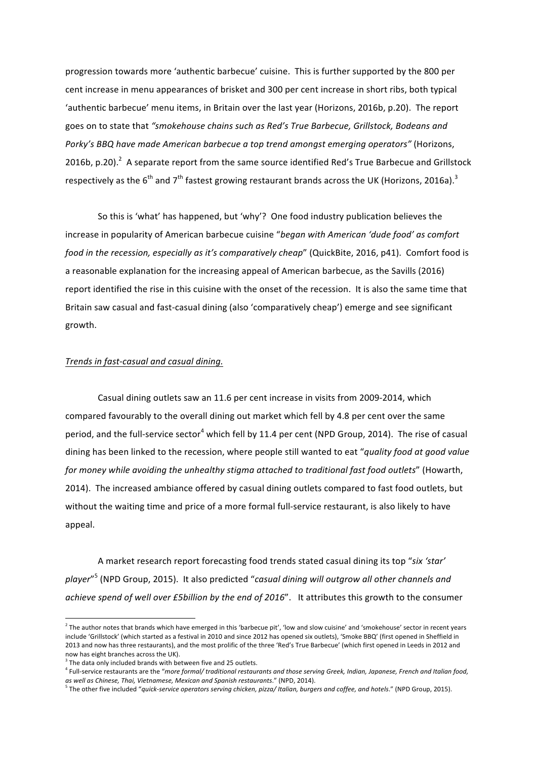progression towards more 'authentic barbecue' cuisine. This is further supported by the 800 per cent increase in menu appearances of brisket and 300 per cent increase in short ribs, both typical 'authentic barbecue' menu items, in Britain over the last year (Horizons, 2016b, p.20). The report goes on to state that "smokehouse chains such as Red's True Barbecue, Grillstock, Bodeans and Porky's BBQ have made American barbecue a top trend amongst emerging operators" (Horizons, 2016b, p.20).  $^2$  A separate report from the same source identified Red's True Barbecue and Grillstock respectively as the  $6^{\text{th}}$  and  $7^{\text{th}}$  fastest growing restaurant brands across the UK (Horizons, 2016a). $^3$ 

So this is 'what' has happened, but 'why'? One food industry publication believes the increase in popularity of American barbecue cuisine "*began with American 'dude food' as comfort food in the recession, especially as it's comparatively cheap*" (QuickBite, 2016, p41). Comfort food is a reasonable explanation for the increasing appeal of American barbecue, as the Savills (2016) report identified the rise in this cuisine with the onset of the recession. It is also the same time that Britain saw casual and fast-casual dining (also 'comparatively cheap') emerge and see significant growth.

### *Trends in fast-casual and casual dining.*

Casual dining outlets saw an 11.6 per cent increase in visits from 2009-2014, which compared favourably to the overall dining out market which fell by 4.8 per cent over the same period, and the full-service sector<sup>4</sup> which fell by 11.4 per cent (NPD Group, 2014). The rise of casual dining has been linked to the recession, where people still wanted to eat "quality food at good value for money while avoiding the unhealthy stigma attached to traditional fast food outlets" (Howarth, 2014). The increased ambiance offered by casual dining outlets compared to fast food outlets, but without the waiting time and price of a more formal full-service restaurant, is also likely to have appeal.

A market research report forecasting food trends stated casual dining its top "six 'star' player"<sup>5</sup> (NPD Group, 2015). It also predicted "casual dining will outgrow all other channels and achieve spend of well over £5billion by the end of 2016". It attributes this growth to the consumer

 

 $^2$  The author notes that brands which have emerged in this 'barbecue pit', 'low and slow cuisine' and 'smokehouse' sector in recent years include 'Grillstock' (which started as a festival in 2010 and since 2012 has opened six outlets), 'Smoke BBQ' (first opened in Sheffield in 2013 and now has three restaurants), and the most prolific of the three 'Red's True Barbecue' (which first opened in Leeds in 2012 and now has eight branches across the UK).

 $3$  The data only included brands with between five and 25 outlets.

<sup>&</sup>lt;sup>4</sup> Full-service restaurants are the "more formal/ traditional restaurants and those serving Greek, Indian, Japanese, French and Italian food, *as well as Chinese, Thai, Vietnamese, Mexican and Spanish restaurants*." (NPD, 2014).

<sup>&</sup>lt;sup>5</sup> The other five included "quick-service operators serving chicken, pizza/ Italian, burgers and coffee, and hotels." (NPD Group, 2015).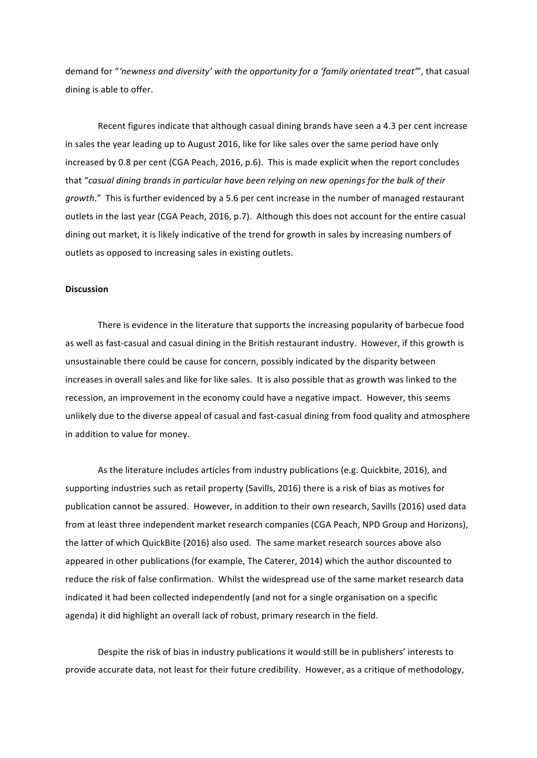demand for "'newness and diversity' with the opportunity for a 'family orientated treat'", that casual dining is able to offer.

Recent figures indicate that although casual dining brands have seen a 4.3 per cent increase in sales the year leading up to August 2016, like for like sales over the same period have only increased by 0.8 per cent (CGA Peach, 2016, p.6). This is made explicit when the report concludes that "casual dining brands in particular have been relying on new openings for the bulk of their *growth*." This is further evidenced by a 5.6 per cent increase in the number of managed restaurant outlets in the last year (CGA Peach, 2016, p.7). Although this does not account for the entire casual dining out market, it is likely indicative of the trend for growth in sales by increasing numbers of outlets as opposed to increasing sales in existing outlets.

#### **Discussion**

There is evidence in the literature that supports the increasing popularity of barbecue food as well as fast-casual and casual dining in the British restaurant industry. However, if this growth is unsustainable there could be cause for concern, possibly indicated by the disparity between increases in overall sales and like for like sales. It is also possible that as growth was linked to the recession, an improvement in the economy could have a negative impact. However, this seems unlikely due to the diverse appeal of casual and fast-casual dining from food quality and atmosphere in addition to value for money.

As the literature includes articles from industry publications (e.g. Quickbite, 2016), and supporting industries such as retail property (Savills, 2016) there is a risk of bias as motives for publication cannot be assured. However, in addition to their own research, Savills (2016) used data from at least three independent market research companies (CGA Peach, NPD Group and Horizons), the latter of which QuickBite (2016) also used. The same market research sources above also appeared in other publications (for example, The Caterer, 2014) which the author discounted to reduce the risk of false confirmation. Whilst the widespread use of the same market research data indicated it had been collected independently (and not for a single organisation on a specific agenda) it did highlight an overall lack of robust, primary research in the field.

Despite the risk of bias in industry publications it would still be in publishers' interests to provide accurate data, not least for their future credibility. However, as a critique of methodology,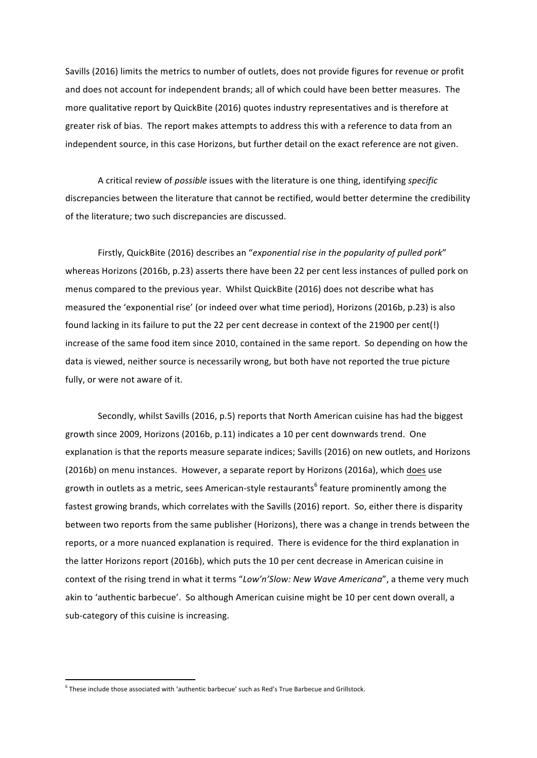Savills (2016) limits the metrics to number of outlets, does not provide figures for revenue or profit and does not account for independent brands; all of which could have been better measures. The more qualitative report by QuickBite (2016) quotes industry representatives and is therefore at greater risk of bias. The report makes attempts to address this with a reference to data from an independent source, in this case Horizons, but further detail on the exact reference are not given.

A critical review of *possible* issues with the literature is one thing, identifying *specific* discrepancies between the literature that cannot be rectified, would better determine the credibility of the literature; two such discrepancies are discussed.

Firstly, QuickBite (2016) describes an "exponential rise in the popularity of pulled pork" whereas Horizons (2016b, p.23) asserts there have been 22 per cent less instances of pulled pork on menus compared to the previous year. Whilst QuickBite (2016) does not describe what has measured the 'exponential rise' (or indeed over what time period), Horizons (2016b, p.23) is also found lacking in its failure to put the 22 per cent decrease in context of the 21900 per cent(!) increase of the same food item since 2010, contained in the same report. So depending on how the data is viewed, neither source is necessarily wrong, but both have not reported the true picture fully, or were not aware of it.

Secondly, whilst Savills (2016, p.5) reports that North American cuisine has had the biggest growth since 2009, Horizons (2016b, p.11) indicates a 10 per cent downwards trend. One explanation is that the reports measure separate indices; Savills (2016) on new outlets, and Horizons (2016b) on menu instances. However, a separate report by Horizons (2016a), which does use growth in outlets as a metric, sees American-style restaurants<sup>6</sup> feature prominently among the fastest growing brands, which correlates with the Savills (2016) report. So, either there is disparity between two reports from the same publisher (Horizons), there was a change in trends between the reports, or a more nuanced explanation is required. There is evidence for the third explanation in the latter Horizons report (2016b), which puts the 10 per cent decrease in American cuisine in context of the rising trend in what it terms "Low'n'Slow: New Wave Americana", a theme very much akin to 'authentic barbecue'. So although American cuisine might be 10 per cent down overall, a sub-category of this cuisine is increasing.

 

 $6$  These include those associated with 'authentic barbecue' such as Red's True Barbecue and Grillstock.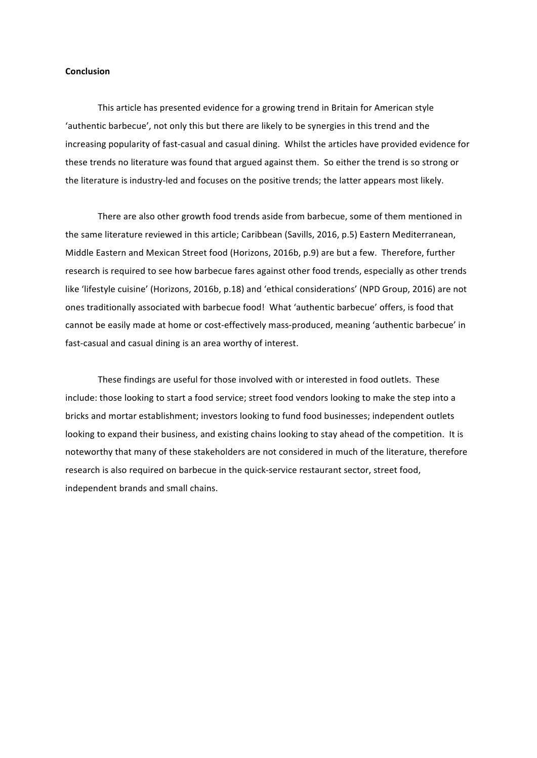#### **Conclusion**

This article has presented evidence for a growing trend in Britain for American style 'authentic barbecue', not only this but there are likely to be synergies in this trend and the increasing popularity of fast-casual and casual dining. Whilst the articles have provided evidence for these trends no literature was found that argued against them. So either the trend is so strong or the literature is industry-led and focuses on the positive trends; the latter appears most likely.

There are also other growth food trends aside from barbecue, some of them mentioned in the same literature reviewed in this article; Caribbean (Savills, 2016, p.5) Eastern Mediterranean, Middle Eastern and Mexican Street food (Horizons, 2016b, p.9) are but a few. Therefore, further research is required to see how barbecue fares against other food trends, especially as other trends like 'lifestyle cuisine' (Horizons, 2016b, p.18) and 'ethical considerations' (NPD Group, 2016) are not ones traditionally associated with barbecue food! What 'authentic barbecue' offers, is food that cannot be easily made at home or cost-effectively mass-produced, meaning 'authentic barbecue' in fast-casual and casual dining is an area worthy of interest.

These findings are useful for those involved with or interested in food outlets. These include: those looking to start a food service; street food vendors looking to make the step into a bricks and mortar establishment; investors looking to fund food businesses; independent outlets looking to expand their business, and existing chains looking to stay ahead of the competition. It is noteworthy that many of these stakeholders are not considered in much of the literature, therefore research is also required on barbecue in the quick-service restaurant sector, street food, independent brands and small chains.